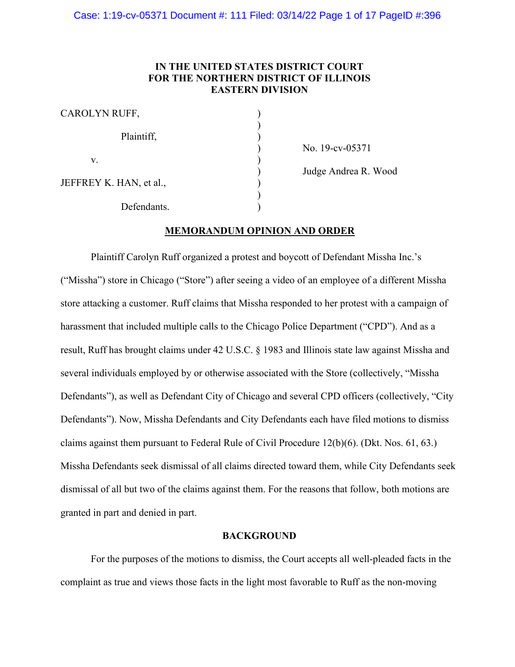# **IN THE UNITED STATES DISTRICT COURT FOR THE NORTHERN DISTRICT OF ILLINOIS EASTERN DIVISION**

| CAROLYN RUFF,           |  |
|-------------------------|--|
| Plaintiff,              |  |
| V.                      |  |
| JEFFREY K. HAN, et al., |  |
| Defendants.             |  |

) No. 19-cv-05371

) Judge Andrea R. Wood

# **MEMORANDUM OPINION AND ORDER**

Plaintiff Carolyn Ruff organized a protest and boycott of Defendant Missha Inc.'s ("Missha") store in Chicago ("Store") after seeing a video of an employee of a different Missha store attacking a customer. Ruff claims that Missha responded to her protest with a campaign of harassment that included multiple calls to the Chicago Police Department ("CPD"). And as a result, Ruff has brought claims under 42 U.S.C. § 1983 and Illinois state law against Missha and several individuals employed by or otherwise associated with the Store (collectively, "Missha Defendants"), as well as Defendant City of Chicago and several CPD officers (collectively, "City Defendants"). Now, Missha Defendants and City Defendants each have filed motions to dismiss claims against them pursuant to Federal Rule of Civil Procedure 12(b)(6). (Dkt. Nos. 61, 63.) Missha Defendants seek dismissal of all claims directed toward them, while City Defendants seek dismissal of all but two of the claims against them. For the reasons that follow, both motions are granted in part and denied in part.

#### **BACKGROUND**

For the purposes of the motions to dismiss, the Court accepts all well-pleaded facts in the complaint as true and views those facts in the light most favorable to Ruff as the non-moving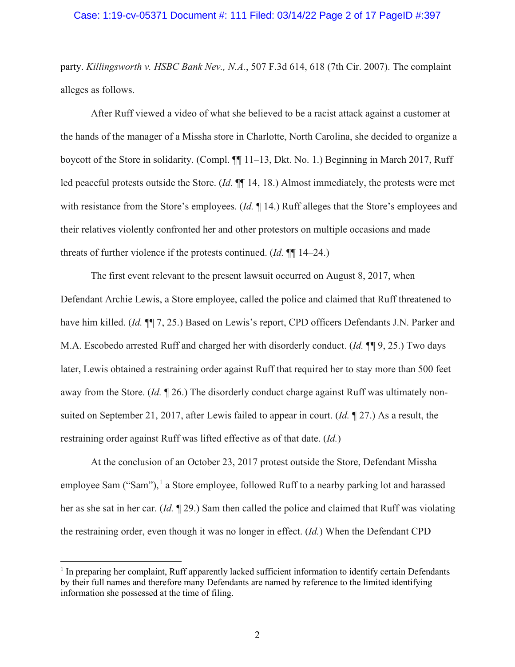## Case: 1:19-cv-05371 Document #: 111 Filed: 03/14/22 Page 2 of 17 PageID #:397

party. *Killingsworth v. HSBC Bank Nev., N.A.*, 507 F.3d 614, 618 (7th Cir. 2007). The complaint alleges as follows.

After Ruff viewed a video of what she believed to be a racist attack against a customer at the hands of the manager of a Missha store in Charlotte, North Carolina, she decided to organize a boycott of the Store in solidarity. (Compl. ¶¶ 11–13, Dkt. No. 1.) Beginning in March 2017, Ruff led peaceful protests outside the Store. (*Id.* ¶¶ 14, 18.) Almost immediately, the protests were met with resistance from the Store's employees. (*Id.* ¶ 14.) Ruff alleges that the Store's employees and their relatives violently confronted her and other protestors on multiple occasions and made threats of further violence if the protests continued. (*Id.* ¶¶ 14–24.)

The first event relevant to the present lawsuit occurred on August 8, 2017, when Defendant Archie Lewis, a Store employee, called the police and claimed that Ruff threatened to have him killed. *(Id.*  $\P$ ] 7, 25.) Based on Lewis's report, CPD officers Defendants J.N. Parker and M.A. Escobedo arrested Ruff and charged her with disorderly conduct. (*Id.* ¶¶ 9, 25.) Two days later, Lewis obtained a restraining order against Ruff that required her to stay more than 500 feet away from the Store. (*Id.* ¶ 26.) The disorderly conduct charge against Ruff was ultimately nonsuited on September 21, 2017, after Lewis failed to appear in court. (*Id.* ¶ 27.) As a result, the restraining order against Ruff was lifted effective as of that date. (*Id.*)

At the conclusion of an October 23, 2017 protest outside the Store, Defendant Missha employee Sam ("Sam"),<sup>[1](#page-1-0)</sup> a Store employee, followed Ruff to a nearby parking lot and harassed her as she sat in her car. (*Id.* ¶ 29.) Sam then called the police and claimed that Ruff was violating the restraining order, even though it was no longer in effect. (*Id.*) When the Defendant CPD

<span id="page-1-0"></span><sup>1</sup> In preparing her complaint, Ruff apparently lacked sufficient information to identify certain Defendants by their full names and therefore many Defendants are named by reference to the limited identifying information she possessed at the time of filing.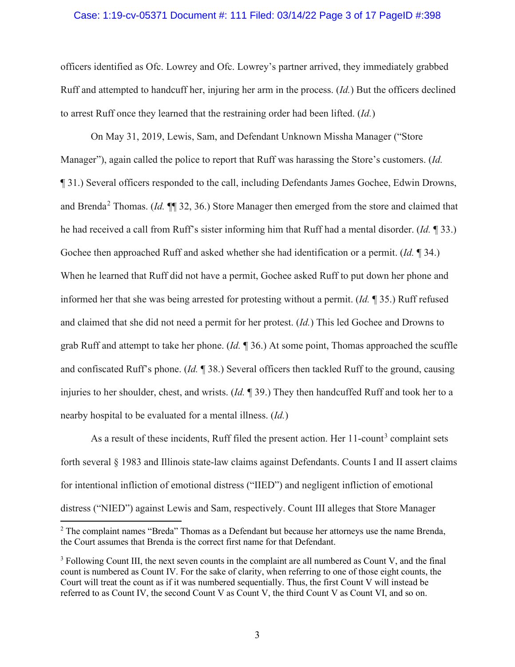## Case: 1:19-cv-05371 Document #: 111 Filed: 03/14/22 Page 3 of 17 PageID #:398

officers identified as Ofc. Lowrey and Ofc. Lowrey's partner arrived, they immediately grabbed Ruff and attempted to handcuff her, injuring her arm in the process. (*Id.*) But the officers declined to arrest Ruff once they learned that the restraining order had been lifted. (*Id.*)

On May 31, 2019, Lewis, Sam, and Defendant Unknown Missha Manager ("Store Manager"), again called the police to report that Ruff was harassing the Store's customers. (*Id.* ¶ 31.) Several officers responded to the call, including Defendants James Gochee, Edwin Drowns, and Brenda[2](#page-2-0) Thomas. (*Id.* ¶¶ 32, 36.) Store Manager then emerged from the store and claimed that he had received a call from Ruff's sister informing him that Ruff had a mental disorder. (*Id.* ¶ 33.) Gochee then approached Ruff and asked whether she had identification or a permit. (*Id.* ¶ 34.) When he learned that Ruff did not have a permit, Gochee asked Ruff to put down her phone and informed her that she was being arrested for protesting without a permit. (*Id.* ¶ 35.) Ruff refused and claimed that she did not need a permit for her protest. (*Id.*) This led Gochee and Drowns to grab Ruff and attempt to take her phone. (*Id.* ¶ 36.) At some point, Thomas approached the scuffle and confiscated Ruff's phone. (*Id.* ¶ 38.) Several officers then tackled Ruff to the ground, causing injuries to her shoulder, chest, and wrists. (*Id.* ¶ 39.) They then handcuffed Ruff and took her to a nearby hospital to be evaluated for a mental illness. (*Id.*)

As a result of these incidents, Ruff filed the present action. Her  $11$ -count<sup>[3](#page-2-1)</sup> complaint sets forth several § 1983 and Illinois state-law claims against Defendants. Counts I and II assert claims for intentional infliction of emotional distress ("IIED") and negligent infliction of emotional distress ("NIED") against Lewis and Sam, respectively. Count III alleges that Store Manager

<span id="page-2-0"></span><sup>&</sup>lt;sup>2</sup> The complaint names "Breda" Thomas as a Defendant but because her attorneys use the name Brenda, the Court assumes that Brenda is the correct first name for that Defendant.

<span id="page-2-1"></span><sup>&</sup>lt;sup>3</sup> Following Count III, the next seven counts in the complaint are all numbered as Count V, and the final count is numbered as Count IV. For the sake of clarity, when referring to one of those eight counts, the Court will treat the count as if it was numbered sequentially. Thus, the first Count V will instead be referred to as Count IV, the second Count V as Count V, the third Count V as Count VI, and so on.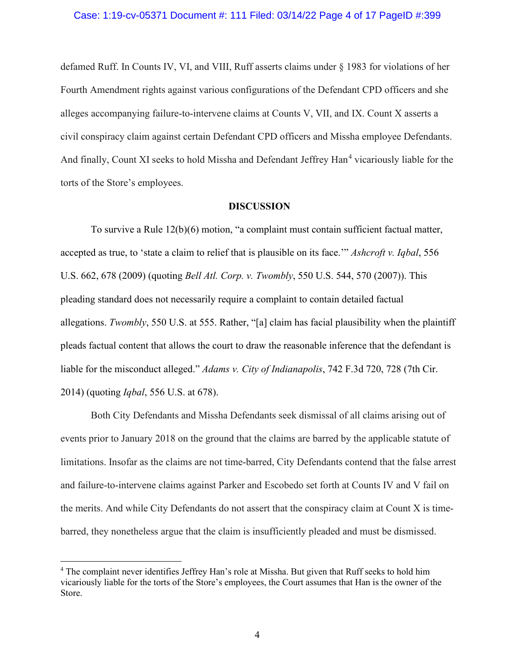## Case: 1:19-cv-05371 Document #: 111 Filed: 03/14/22 Page 4 of 17 PageID #:399

defamed Ruff. In Counts IV, VI, and VIII, Ruff asserts claims under § 1983 for violations of her Fourth Amendment rights against various configurations of the Defendant CPD officers and she alleges accompanying failure-to-intervene claims at Counts V, VII, and IX. Count X asserts a civil conspiracy claim against certain Defendant CPD officers and Missha employee Defendants. And finally, Count XI seeks to hold Missha and Defendant Jeffrey Han<sup>[4](#page-3-0)</sup> vicariously liable for the torts of the Store's employees.

#### **DISCUSSION**

To survive a Rule 12(b)(6) motion, "a complaint must contain sufficient factual matter, accepted as true, to 'state a claim to relief that is plausible on its face.'" *Ashcroft v. Iqbal*, 556 U.S. 662, 678 (2009) (quoting *Bell Atl. Corp. v. Twombly*, 550 U.S. 544, 570 (2007)). This pleading standard does not necessarily require a complaint to contain detailed factual allegations. *Twombly*, 550 U.S. at 555. Rather, "[a] claim has facial plausibility when the plaintiff pleads factual content that allows the court to draw the reasonable inference that the defendant is liable for the misconduct alleged." *Adams v. City of Indianapolis*, 742 F.3d 720, 728 (7th Cir. 2014) (quoting *Iqbal*, 556 U.S. at 678).

Both City Defendants and Missha Defendants seek dismissal of all claims arising out of events prior to January 2018 on the ground that the claims are barred by the applicable statute of limitations. Insofar as the claims are not time-barred, City Defendants contend that the false arrest and failure-to-intervene claims against Parker and Escobedo set forth at Counts IV and V fail on the merits. And while City Defendants do not assert that the conspiracy claim at Count X is timebarred, they nonetheless argue that the claim is insufficiently pleaded and must be dismissed.

<span id="page-3-0"></span><sup>4</sup> The complaint never identifies Jeffrey Han's role at Missha. But given that Ruff seeks to hold him vicariously liable for the torts of the Store's employees, the Court assumes that Han is the owner of the Store.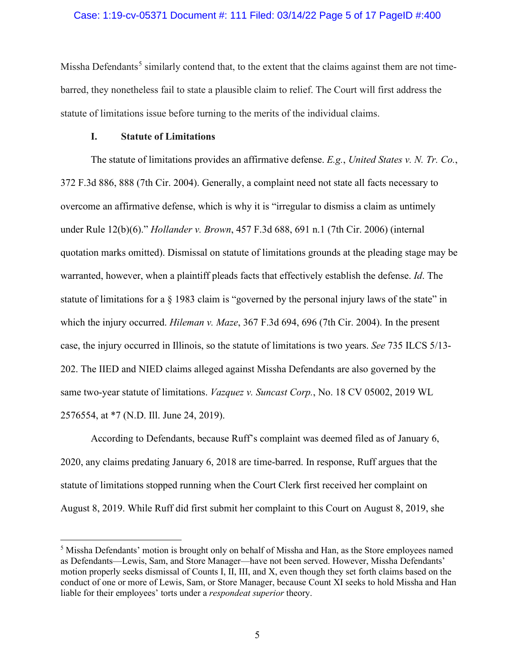## Case: 1:19-cv-05371 Document #: 111 Filed: 03/14/22 Page 5 of 17 PageID #:400

Missha Defendants<sup>[5](#page-4-0)</sup> similarly contend that, to the extent that the claims against them are not timebarred, they nonetheless fail to state a plausible claim to relief. The Court will first address the statute of limitations issue before turning to the merits of the individual claims.

# **I. Statute of Limitations**

The statute of limitations provides an affirmative defense. *E.g.*, *United States v. N. Tr. Co.*, 372 F.3d 886, 888 (7th Cir. 2004). Generally, a complaint need not state all facts necessary to overcome an affirmative defense, which is why it is "irregular to dismiss a claim as untimely under Rule 12(b)(6)." *Hollander v. Brown*, 457 F.3d 688, 691 n.1 (7th Cir. 2006) (internal quotation marks omitted). Dismissal on statute of limitations grounds at the pleading stage may be warranted, however, when a plaintiff pleads facts that effectively establish the defense. *Id*. The statute of limitations for a  $\S$  1983 claim is "governed by the personal injury laws of the state" in which the injury occurred. *Hileman v. Maze*, 367 F.3d 694, 696 (7th Cir. 2004). In the present case, the injury occurred in Illinois, so the statute of limitations is two years. *See* 735 ILCS 5/13- 202. The IIED and NIED claims alleged against Missha Defendants are also governed by the same two-year statute of limitations. *Vazquez v. Suncast Corp.*, No. 18 CV 05002, 2019 WL 2576554, at \*7 (N.D. Ill. June 24, 2019).

According to Defendants, because Ruff's complaint was deemed filed as of January 6, 2020, any claims predating January 6, 2018 are time-barred. In response, Ruff argues that the statute of limitations stopped running when the Court Clerk first received her complaint on August 8, 2019. While Ruff did first submit her complaint to this Court on August 8, 2019, she

<span id="page-4-0"></span><sup>&</sup>lt;sup>5</sup> Missha Defendants' motion is brought only on behalf of Missha and Han, as the Store employees named as Defendants—Lewis, Sam, and Store Manager—have not been served. However, Missha Defendants' motion properly seeks dismissal of Counts I, II, III, and X, even though they set forth claims based on the conduct of one or more of Lewis, Sam, or Store Manager, because Count XI seeks to hold Missha and Han liable for their employees' torts under a *respondeat superior* theory.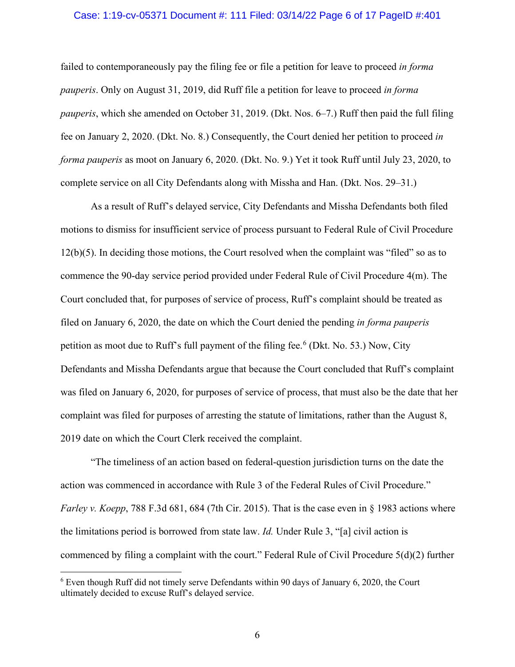## Case: 1:19-cv-05371 Document #: 111 Filed: 03/14/22 Page 6 of 17 PageID #:401

failed to contemporaneously pay the filing fee or file a petition for leave to proceed *in forma pauperis*. Only on August 31, 2019, did Ruff file a petition for leave to proceed *in forma pauperis*, which she amended on October 31, 2019. (Dkt. Nos. 6–7.) Ruff then paid the full filing fee on January 2, 2020. (Dkt. No. 8.) Consequently, the Court denied her petition to proceed *in forma pauperis* as moot on January 6, 2020. (Dkt. No. 9.) Yet it took Ruff until July 23, 2020, to complete service on all City Defendants along with Missha and Han. (Dkt. Nos. 29–31.)

As a result of Ruff's delayed service, City Defendants and Missha Defendants both filed motions to dismiss for insufficient service of process pursuant to Federal Rule of Civil Procedure 12(b)(5). In deciding those motions, the Court resolved when the complaint was "filed" so as to commence the 90-day service period provided under Federal Rule of Civil Procedure 4(m). The Court concluded that, for purposes of service of process, Ruff's complaint should be treated as filed on January 6, 2020, the date on which the Court denied the pending *in forma pauperis* petition as moot due to Ruff's full payment of the filing fee.<sup>[6](#page-5-0)</sup> (Dkt. No. 53.) Now, City Defendants and Missha Defendants argue that because the Court concluded that Ruff's complaint was filed on January 6, 2020, for purposes of service of process, that must also be the date that her complaint was filed for purposes of arresting the statute of limitations, rather than the August 8, 2019 date on which the Court Clerk received the complaint.

"The timeliness of an action based on federal-question jurisdiction turns on the date the action was commenced in accordance with Rule 3 of the Federal Rules of Civil Procedure." *Farley v. Koepp*, 788 F.3d 681, 684 (7th Cir. 2015). That is the case even in § 1983 actions where the limitations period is borrowed from state law. *Id.* Under Rule 3, "[a] civil action is commenced by filing a complaint with the court." Federal Rule of Civil Procedure 5(d)(2) further

<span id="page-5-0"></span><sup>6</sup> Even though Ruff did not timely serve Defendants within 90 days of January 6, 2020, the Court ultimately decided to excuse Ruff's delayed service.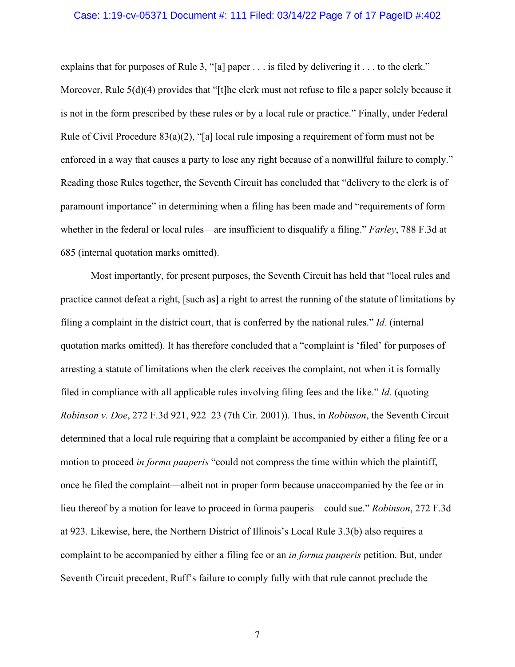## Case: 1:19-cv-05371 Document #: 111 Filed: 03/14/22 Page 7 of 17 PageID #:402

explains that for purposes of Rule 3, "[a] paper . . . is filed by delivering it . . . to the clerk." Moreover, Rule 5(d)(4) provides that "[t]he clerk must not refuse to file a paper solely because it is not in the form prescribed by these rules or by a local rule or practice." Finally, under Federal Rule of Civil Procedure 83(a)(2), "[a] local rule imposing a requirement of form must not be enforced in a way that causes a party to lose any right because of a nonwillful failure to comply." Reading those Rules together, the Seventh Circuit has concluded that "delivery to the clerk is of paramount importance" in determining when a filing has been made and "requirements of form whether in the federal or local rules—are insufficient to disqualify a filing." *Farley*, 788 F.3d at 685 (internal quotation marks omitted).

Most importantly, for present purposes, the Seventh Circuit has held that "local rules and practice cannot defeat a right, [such as] a right to arrest the running of the statute of limitations by filing a complaint in the district court, that is conferred by the national rules." *Id.* (internal quotation marks omitted). It has therefore concluded that a "complaint is 'filed' for purposes of arresting a statute of limitations when the clerk receives the complaint, not when it is formally filed in compliance with all applicable rules involving filing fees and the like." *Id.* (quoting *Robinson v. Doe*, 272 F.3d 921, 922–23 (7th Cir. 2001)). Thus, in *Robinson*, the Seventh Circuit determined that a local rule requiring that a complaint be accompanied by either a filing fee or a motion to proceed *in forma pauperis* "could not compress the time within which the plaintiff, once he filed the complaint—albeit not in proper form because unaccompanied by the fee or in lieu thereof by a motion for leave to proceed in forma pauperis—could sue." *Robinson*, 272 F.3d at 923. Likewise, here, the Northern District of Illinois's Local Rule 3.3(b) also requires a complaint to be accompanied by either a filing fee or an *in forma pauperis* petition. But, under Seventh Circuit precedent, Ruff's failure to comply fully with that rule cannot preclude the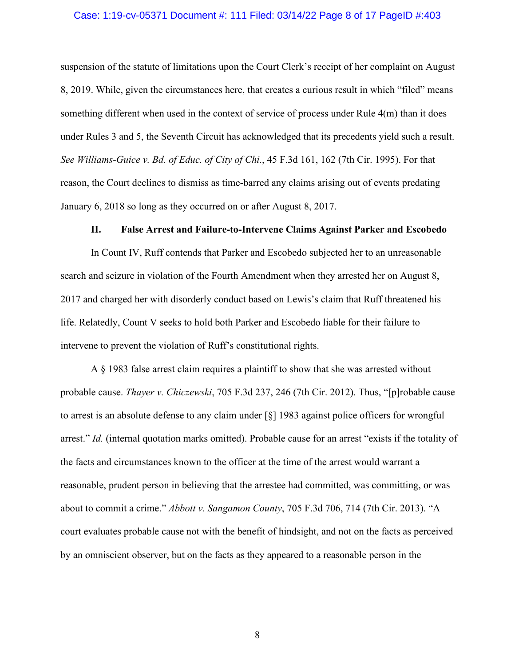## Case: 1:19-cv-05371 Document #: 111 Filed: 03/14/22 Page 8 of 17 PageID #:403

suspension of the statute of limitations upon the Court Clerk's receipt of her complaint on August 8, 2019. While, given the circumstances here, that creates a curious result in which "filed" means something different when used in the context of service of process under Rule 4(m) than it does under Rules 3 and 5, the Seventh Circuit has acknowledged that its precedents yield such a result. *See Williams-Guice v. Bd. of Educ. of City of Chi.*, 45 F.3d 161, 162 (7th Cir. 1995). For that reason, the Court declines to dismiss as time-barred any claims arising out of events predating January 6, 2018 so long as they occurred on or after August 8, 2017.

#### **II. False Arrest and Failure-to-Intervene Claims Against Parker and Escobedo**

In Count IV, Ruff contends that Parker and Escobedo subjected her to an unreasonable search and seizure in violation of the Fourth Amendment when they arrested her on August 8, 2017 and charged her with disorderly conduct based on Lewis's claim that Ruff threatened his life. Relatedly, Count V seeks to hold both Parker and Escobedo liable for their failure to intervene to prevent the violation of Ruff's constitutional rights.

A § 1983 false arrest claim requires a plaintiff to show that she was arrested without probable cause. *Thayer v. Chiczewski*, 705 F.3d 237, 246 (7th Cir. 2012). Thus, "[p]robable cause to arrest is an absolute defense to any claim under [§] 1983 against police officers for wrongful arrest." *Id.* (internal quotation marks omitted). Probable cause for an arrest "exists if the totality of the facts and circumstances known to the officer at the time of the arrest would warrant a reasonable, prudent person in believing that the arrestee had committed, was committing, or was about to commit a crime." *Abbott v. Sangamon County*, 705 F.3d 706, 714 (7th Cir. 2013). "A court evaluates probable cause not with the benefit of hindsight, and not on the facts as perceived by an omniscient observer, but on the facts as they appeared to a reasonable person in the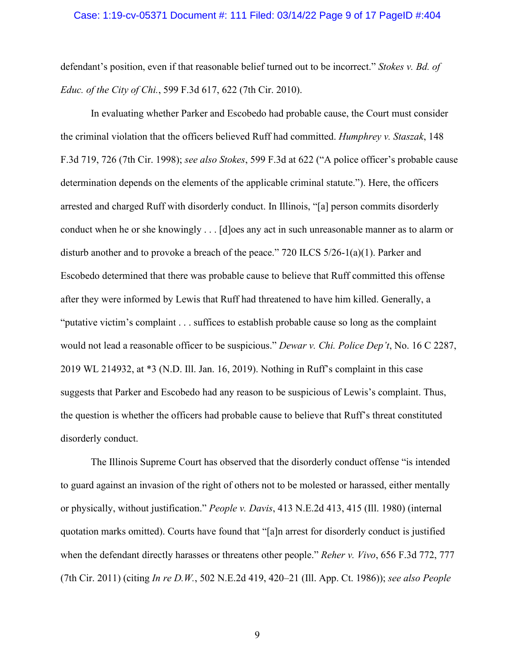## Case: 1:19-cv-05371 Document #: 111 Filed: 03/14/22 Page 9 of 17 PageID #:404

defendant's position, even if that reasonable belief turned out to be incorrect." *Stokes v. Bd. of Educ. of the City of Chi.*, 599 F.3d 617, 622 (7th Cir. 2010).

In evaluating whether Parker and Escobedo had probable cause, the Court must consider the criminal violation that the officers believed Ruff had committed. *Humphrey v. Staszak*, 148 F.3d 719, 726 (7th Cir. 1998); *see also Stokes*, 599 F.3d at 622 ("A police officer's probable cause determination depends on the elements of the applicable criminal statute."). Here, the officers arrested and charged Ruff with disorderly conduct. In Illinois, "[a] person commits disorderly conduct when he or she knowingly . . . [d]oes any act in such unreasonable manner as to alarm or disturb another and to provoke a breach of the peace." 720 ILCS 5/26-1(a)(1). Parker and Escobedo determined that there was probable cause to believe that Ruff committed this offense after they were informed by Lewis that Ruff had threatened to have him killed. Generally, a "putative victim's complaint . . . suffices to establish probable cause so long as the complaint would not lead a reasonable officer to be suspicious." *Dewar v. Chi. Police Dep't*, No. 16 C 2287, 2019 WL 214932, at \*3 (N.D. Ill. Jan. 16, 2019). Nothing in Ruff's complaint in this case suggests that Parker and Escobedo had any reason to be suspicious of Lewis's complaint. Thus, the question is whether the officers had probable cause to believe that Ruff's threat constituted disorderly conduct.

The Illinois Supreme Court has observed that the disorderly conduct offense "is intended to guard against an invasion of the right of others not to be molested or harassed, either mentally or physically, without justification." *People v. Davis*, 413 N.E.2d 413, 415 (Ill. 1980) (internal quotation marks omitted). Courts have found that "[a]n arrest for disorderly conduct is justified when the defendant directly harasses or threatens other people." *Reher v. Vivo*, 656 F.3d 772, 777 (7th Cir. 2011) (citing *In re D.W.*, 502 N.E.2d 419, 420–21 (Ill. App. Ct. 1986)); *see also People*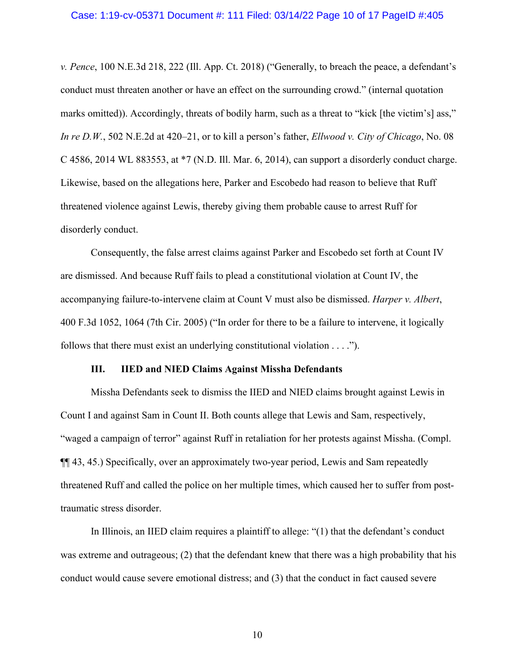#### Case: 1:19-cv-05371 Document #: 111 Filed: 03/14/22 Page 10 of 17 PageID #:405

*v. Pence*, 100 N.E.3d 218, 222 (Ill. App. Ct. 2018) ("Generally, to breach the peace, a defendant's conduct must threaten another or have an effect on the surrounding crowd." (internal quotation marks omitted)). Accordingly, threats of bodily harm, such as a threat to "kick [the victim's] ass," *In re D.W.*, 502 N.E.2d at 420–21, or to kill a person's father, *Ellwood v. City of Chicago*, No. 08 C 4586, 2014 WL 883553, at \*7 (N.D. Ill. Mar. 6, 2014), can support a disorderly conduct charge. Likewise, based on the allegations here, Parker and Escobedo had reason to believe that Ruff threatened violence against Lewis, thereby giving them probable cause to arrest Ruff for disorderly conduct.

Consequently, the false arrest claims against Parker and Escobedo set forth at Count IV are dismissed. And because Ruff fails to plead a constitutional violation at Count IV, the accompanying failure-to-intervene claim at Count V must also be dismissed. *Harper v. Albert*, 400 F.3d 1052, 1064 (7th Cir. 2005) ("In order for there to be a failure to intervene, it logically follows that there must exist an underlying constitutional violation . . . .").

## **III. IIED and NIED Claims Against Missha Defendants**

Missha Defendants seek to dismiss the IIED and NIED claims brought against Lewis in Count I and against Sam in Count II. Both counts allege that Lewis and Sam, respectively, "waged a campaign of terror" against Ruff in retaliation for her protests against Missha. (Compl. ¶¶ 43, 45.) Specifically, over an approximately two-year period, Lewis and Sam repeatedly threatened Ruff and called the police on her multiple times, which caused her to suffer from posttraumatic stress disorder.

In Illinois, an IIED claim requires a plaintiff to allege: "(1) that the defendant's conduct was extreme and outrageous; (2) that the defendant knew that there was a high probability that his conduct would cause severe emotional distress; and (3) that the conduct in fact caused severe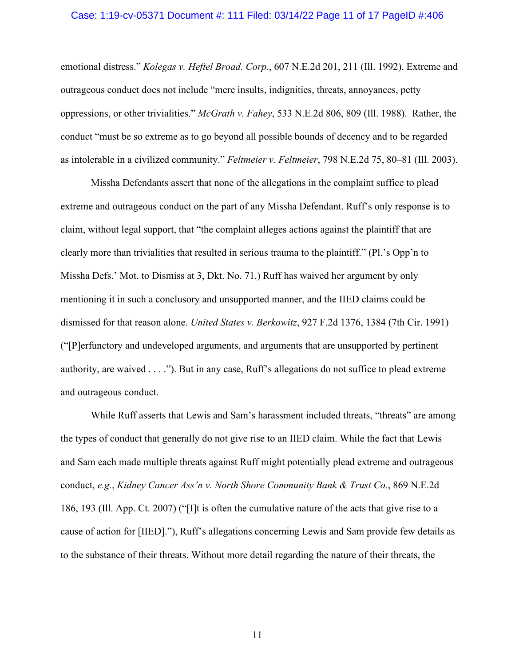#### Case: 1:19-cv-05371 Document #: 111 Filed: 03/14/22 Page 11 of 17 PageID #:406

emotional distress." *Kolegas v. Heftel Broad. Corp.*, 607 N.E.2d 201, 211 (Ill. 1992). Extreme and outrageous conduct does not include "mere insults, indignities, threats, annoyances, petty oppressions, or other trivialities." *McGrath v. Fahey*, 533 N.E.2d 806, 809 (Ill. 1988). Rather, the conduct "must be so extreme as to go beyond all possible bounds of decency and to be regarded as intolerable in a civilized community." *Feltmeier v. Feltmeier*, 798 N.E.2d 75, 80–81 (Ill. 2003).

Missha Defendants assert that none of the allegations in the complaint suffice to plead extreme and outrageous conduct on the part of any Missha Defendant. Ruff's only response is to claim, without legal support, that "the complaint alleges actions against the plaintiff that are clearly more than trivialities that resulted in serious trauma to the plaintiff." (Pl.'s Opp'n to Missha Defs.' Mot. to Dismiss at 3, Dkt. No. 71.) Ruff has waived her argument by only mentioning it in such a conclusory and unsupported manner, and the IIED claims could be dismissed for that reason alone. *United States v. Berkowitz*, 927 F.2d 1376, 1384 (7th Cir. 1991) ("[P]erfunctory and undeveloped arguments, and arguments that are unsupported by pertinent authority, are waived . . . ."). But in any case, Ruff's allegations do not suffice to plead extreme and outrageous conduct.

While Ruff asserts that Lewis and Sam's harassment included threats, "threats" are among the types of conduct that generally do not give rise to an IIED claim. While the fact that Lewis and Sam each made multiple threats against Ruff might potentially plead extreme and outrageous conduct, *e.g.*, *Kidney Cancer Ass'n v. North Shore Community Bank & Trust Co.*, 869 N.E.2d 186, 193 (Ill. App. Ct. 2007) ("[I]t is often the cumulative nature of the acts that give rise to a cause of action for [IIED]."), Ruff's allegations concerning Lewis and Sam provide few details as to the substance of their threats. Without more detail regarding the nature of their threats, the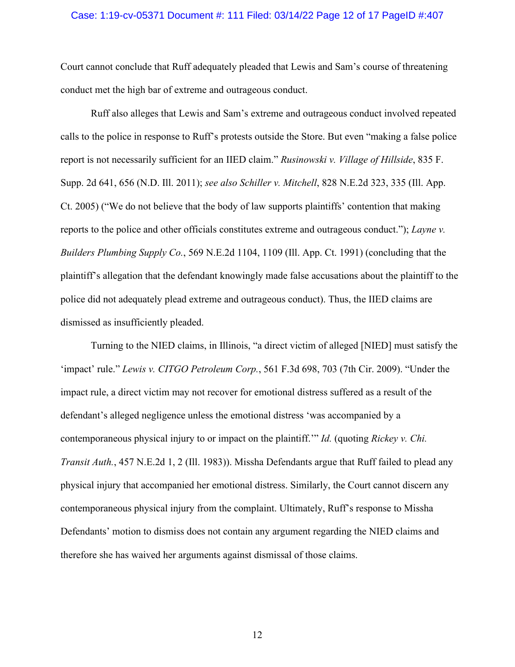### Case: 1:19-cv-05371 Document #: 111 Filed: 03/14/22 Page 12 of 17 PageID #:407

Court cannot conclude that Ruff adequately pleaded that Lewis and Sam's course of threatening conduct met the high bar of extreme and outrageous conduct.

Ruff also alleges that Lewis and Sam's extreme and outrageous conduct involved repeated calls to the police in response to Ruff's protests outside the Store. But even "making a false police report is not necessarily sufficient for an IIED claim." *Rusinowski v. Village of Hillside*, 835 F. Supp. 2d 641, 656 (N.D. Ill. 2011); *see also Schiller v. Mitchell*, 828 N.E.2d 323, 335 (Ill. App. Ct. 2005) ("We do not believe that the body of law supports plaintiffs' contention that making reports to the police and other officials constitutes extreme and outrageous conduct."); *Layne v. Builders Plumbing Supply Co.*, 569 N.E.2d 1104, 1109 (Ill. App. Ct. 1991) (concluding that the plaintiff's allegation that the defendant knowingly made false accusations about the plaintiff to the police did not adequately plead extreme and outrageous conduct). Thus, the IIED claims are dismissed as insufficiently pleaded.

Turning to the NIED claims, in Illinois, "a direct victim of alleged [NIED] must satisfy the 'impact' rule." *Lewis v. CITGO Petroleum Corp.*, 561 F.3d 698, 703 (7th Cir. 2009). "Under the impact rule, a direct victim may not recover for emotional distress suffered as a result of the defendant's alleged negligence unless the emotional distress 'was accompanied by a contemporaneous physical injury to or impact on the plaintiff.'" *Id.* (quoting *Rickey v. Chi. Transit Auth.*, 457 N.E.2d 1, 2 (Ill. 1983)). Missha Defendants argue that Ruff failed to plead any physical injury that accompanied her emotional distress. Similarly, the Court cannot discern any contemporaneous physical injury from the complaint. Ultimately, Ruff's response to Missha Defendants' motion to dismiss does not contain any argument regarding the NIED claims and therefore she has waived her arguments against dismissal of those claims.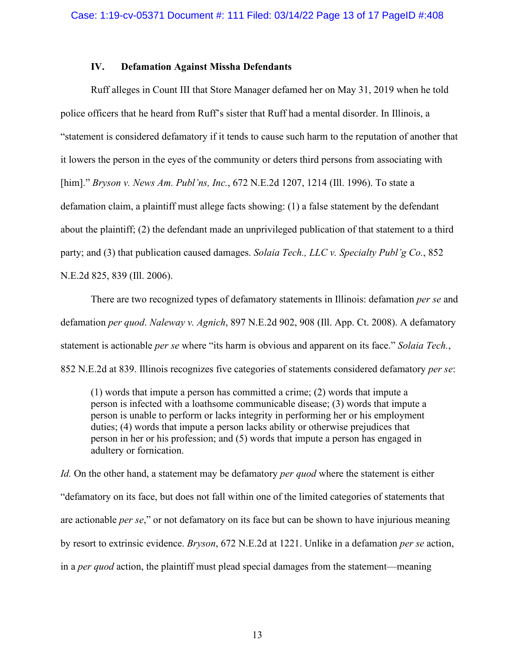# **IV. Defamation Against Missha Defendants**

Ruff alleges in Count III that Store Manager defamed her on May 31, 2019 when he told police officers that he heard from Ruff's sister that Ruff had a mental disorder. In Illinois, a "statement is considered defamatory if it tends to cause such harm to the reputation of another that it lowers the person in the eyes of the community or deters third persons from associating with [him]." *Bryson v. News Am. Publ'ns, Inc.*, 672 N.E.2d 1207, 1214 (Ill. 1996). To state a defamation claim, a plaintiff must allege facts showing: (1) a false statement by the defendant about the plaintiff; (2) the defendant made an unprivileged publication of that statement to a third party; and (3) that publication caused damages. *Solaia Tech., LLC v. Specialty Publ'g Co.*, 852 N.E.2d 825, 839 (Ill. 2006).

There are two recognized types of defamatory statements in Illinois: defamation *per se* and defamation *per quod*. *Naleway v. Agnich*, 897 N.E.2d 902, 908 (Ill. App. Ct. 2008). A defamatory statement is actionable *per se* where "its harm is obvious and apparent on its face." *Solaia Tech.*, 852 N.E.2d at 839. Illinois recognizes five categories of statements considered defamatory *per se*:

(1) words that impute a person has committed a crime; (2) words that impute a person is infected with a loathsome communicable disease; (3) words that impute a person is unable to perform or lacks integrity in performing her or his employment duties; (4) words that impute a person lacks ability or otherwise prejudices that person in her or his profession; and (5) words that impute a person has engaged in adultery or fornication.

*Id.* On the other hand, a statement may be defamatory *per quod* where the statement is either "defamatory on its face, but does not fall within one of the limited categories of statements that are actionable *per se*," or not defamatory on its face but can be shown to have injurious meaning by resort to extrinsic evidence. *Bryson*, 672 N.E.2d at 1221. Unlike in a defamation *per se* action, in a *per quod* action, the plaintiff must plead special damages from the statement—meaning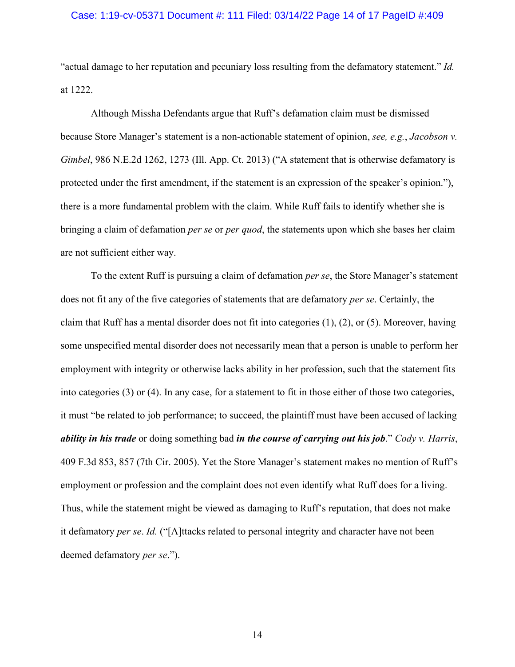#### Case: 1:19-cv-05371 Document #: 111 Filed: 03/14/22 Page 14 of 17 PageID #:409

"actual damage to her reputation and pecuniary loss resulting from the defamatory statement." *Id.* at 1222.

Although Missha Defendants argue that Ruff's defamation claim must be dismissed because Store Manager's statement is a non-actionable statement of opinion, *see, e.g.*, *Jacobson v. Gimbel*, 986 N.E.2d 1262, 1273 (Ill. App. Ct. 2013) ("A statement that is otherwise defamatory is protected under the first amendment, if the statement is an expression of the speaker's opinion."), there is a more fundamental problem with the claim. While Ruff fails to identify whether she is bringing a claim of defamation *per se* or *per quod*, the statements upon which she bases her claim are not sufficient either way.

To the extent Ruff is pursuing a claim of defamation *per se*, the Store Manager's statement does not fit any of the five categories of statements that are defamatory *per se*. Certainly, the claim that Ruff has a mental disorder does not fit into categories (1), (2), or (5). Moreover, having some unspecified mental disorder does not necessarily mean that a person is unable to perform her employment with integrity or otherwise lacks ability in her profession, such that the statement fits into categories (3) or (4). In any case, for a statement to fit in those either of those two categories, it must "be related to job performance; to succeed, the plaintiff must have been accused of lacking *ability in his trade* or doing something bad *in the course of carrying out his job*." *Cody v. Harris*, 409 F.3d 853, 857 (7th Cir. 2005). Yet the Store Manager's statement makes no mention of Ruff's employment or profession and the complaint does not even identify what Ruff does for a living. Thus, while the statement might be viewed as damaging to Ruff's reputation, that does not make it defamatory *per se*. *Id.* ("[A]ttacks related to personal integrity and character have not been deemed defamatory *per se*.").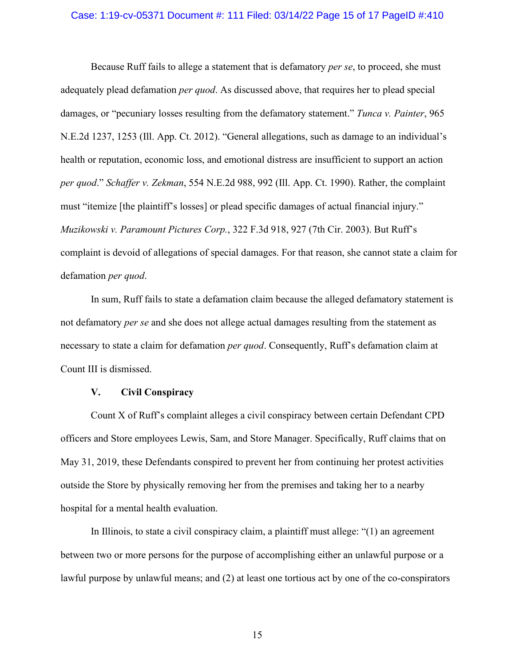#### Case: 1:19-cv-05371 Document #: 111 Filed: 03/14/22 Page 15 of 17 PageID #:410

Because Ruff fails to allege a statement that is defamatory *per se*, to proceed, she must adequately plead defamation *per quod*. As discussed above, that requires her to plead special damages, or "pecuniary losses resulting from the defamatory statement." *Tunca v. Painter*, 965 N.E.2d 1237, 1253 (Ill. App. Ct. 2012). "General allegations, such as damage to an individual's health or reputation, economic loss, and emotional distress are insufficient to support an action *per quod*." *Schaffer v. Zekman*, 554 N.E.2d 988, 992 (Ill. App. Ct. 1990). Rather, the complaint must "itemize [the plaintiff's losses] or plead specific damages of actual financial injury." *Muzikowski v. Paramount Pictures Corp.*, 322 F.3d 918, 927 (7th Cir. 2003). But Ruff's complaint is devoid of allegations of special damages. For that reason, she cannot state a claim for defamation *per quod*.

In sum, Ruff fails to state a defamation claim because the alleged defamatory statement is not defamatory *per se* and she does not allege actual damages resulting from the statement as necessary to state a claim for defamation *per quod*. Consequently, Ruff's defamation claim at Count III is dismissed.

## **V. Civil Conspiracy**

Count X of Ruff's complaint alleges a civil conspiracy between certain Defendant CPD officers and Store employees Lewis, Sam, and Store Manager. Specifically, Ruff claims that on May 31, 2019, these Defendants conspired to prevent her from continuing her protest activities outside the Store by physically removing her from the premises and taking her to a nearby hospital for a mental health evaluation.

In Illinois, to state a civil conspiracy claim, a plaintiff must allege: "(1) an agreement between two or more persons for the purpose of accomplishing either an unlawful purpose or a lawful purpose by unlawful means; and (2) at least one tortious act by one of the co-conspirators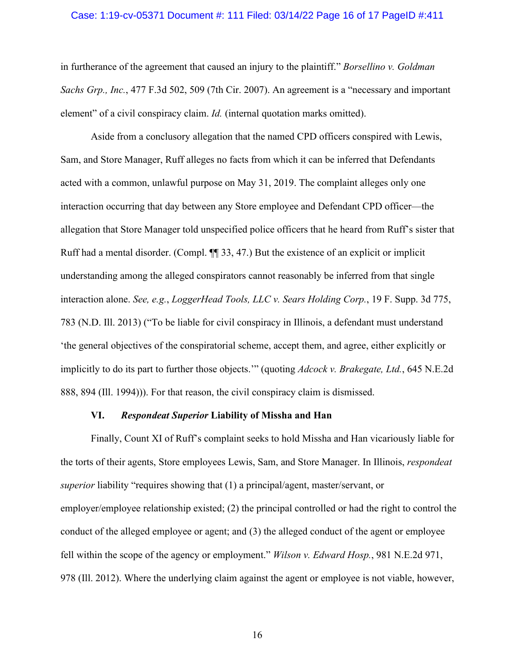#### Case: 1:19-cv-05371 Document #: 111 Filed: 03/14/22 Page 16 of 17 PageID #:411

in furtherance of the agreement that caused an injury to the plaintiff." *Borsellino v. Goldman Sachs Grp., Inc.*, 477 F.3d 502, 509 (7th Cir. 2007). An agreement is a "necessary and important element" of a civil conspiracy claim. *Id.* (internal quotation marks omitted).

Aside from a conclusory allegation that the named CPD officers conspired with Lewis, Sam, and Store Manager, Ruff alleges no facts from which it can be inferred that Defendants acted with a common, unlawful purpose on May 31, 2019. The complaint alleges only one interaction occurring that day between any Store employee and Defendant CPD officer—the allegation that Store Manager told unspecified police officers that he heard from Ruff's sister that Ruff had a mental disorder. (Compl. ¶¶ 33, 47.) But the existence of an explicit or implicit understanding among the alleged conspirators cannot reasonably be inferred from that single interaction alone. *See, e.g.*, *LoggerHead Tools, LLC v. Sears Holding Corp.*, 19 F. Supp. 3d 775, 783 (N.D. Ill. 2013) ("To be liable for civil conspiracy in Illinois, a defendant must understand 'the general objectives of the conspiratorial scheme, accept them, and agree, either explicitly or implicitly to do its part to further those objects.'" (quoting *Adcock v. Brakegate, Ltd.*, 645 N.E.2d 888, 894 (Ill. 1994))). For that reason, the civil conspiracy claim is dismissed.

## **VI.** *Respondeat Superior* **Liability of Missha and Han**

Finally, Count XI of Ruff's complaint seeks to hold Missha and Han vicariously liable for the torts of their agents, Store employees Lewis, Sam, and Store Manager. In Illinois, *respondeat superior* liability "requires showing that (1) a principal/agent, master/servant, or employer/employee relationship existed; (2) the principal controlled or had the right to control the conduct of the alleged employee or agent; and (3) the alleged conduct of the agent or employee fell within the scope of the agency or employment." *Wilson v. Edward Hosp.*, 981 N.E.2d 971, 978 (Ill. 2012). Where the underlying claim against the agent or employee is not viable, however,